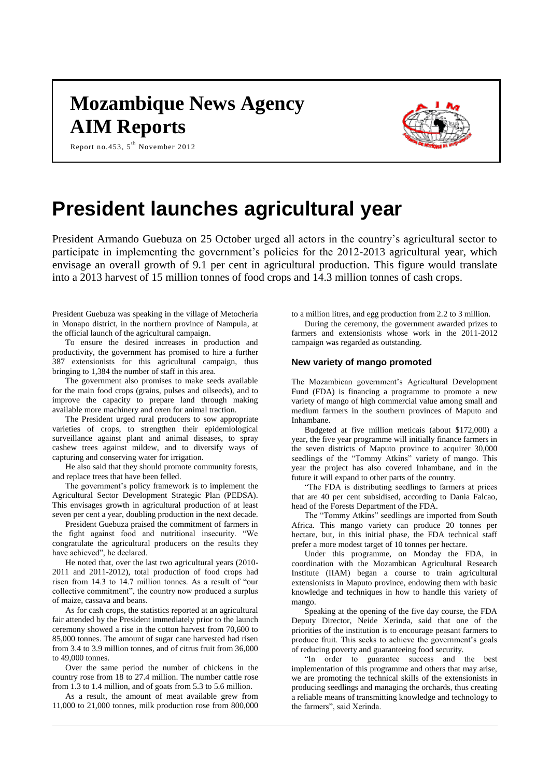## **Mozambique News Agency AIM Reports**



Report no.453, 5<sup>th</sup> November 2012

# **President launches agricultural year**

President Armando Guebuza on 25 October urged all actors in the country's agricultural sector to participate in implementing the government's policies for the 2012-2013 agricultural year, which envisage an overall growth of 9.1 per cent in agricultural production. This figure would translate into a 2013 harvest of 15 million tonnes of food crops and 14.3 million tonnes of cash crops.

President Guebuza was speaking in the village of Metocheria in Monapo district, in the northern province of Nampula, at the official launch of the agricultural campaign.

To ensure the desired increases in production and productivity, the government has promised to hire a further 387 extensionists for this agricultural campaign, thus bringing to 1,384 the number of staff in this area.

The government also promises to make seeds available for the main food crops (grains, pulses and oilseeds), and to improve the capacity to prepare land through making available more machinery and oxen for animal traction.

The President urged rural producers to sow appropriate varieties of crops, to strengthen their epidemiological surveillance against plant and animal diseases, to spray cashew trees against mildew, and to diversify ways of capturing and conserving water for irrigation.

He also said that they should promote community forests, and replace trees that have been felled.

The government's policy framework is to implement the Agricultural Sector Development Strategic Plan (PEDSA). This envisages growth in agricultural production of at least seven per cent a year, doubling production in the next decade.

President Guebuza praised the commitment of farmers in the fight against food and nutritional insecurity. "We congratulate the agricultural producers on the results they have achieved", he declared.

He noted that, over the last two agricultural years (2010- 2011 and 2011-2012), total production of food crops had risen from 14.3 to 14.7 million tonnes. As a result of "our collective commitment", the country now produced a surplus of maize, cassava and beans.

As for cash crops, the statistics reported at an agricultural fair attended by the President immediately prior to the launch ceremony showed a rise in the cotton harvest from 70,600 to 85,000 tonnes. The amount of sugar cane harvested had risen from 3.4 to 3.9 million tonnes, and of citrus fruit from 36,000 to 49,000 tonnes.

Over the same period the number of chickens in the country rose from 18 to 27.4 million. The number cattle rose from 1.3 to 1.4 million, and of goats from 5.3 to 5.6 million.

As a result, the amount of meat available grew from 11,000 to 21,000 tonnes, milk production rose from 800,000 to a million litres, and egg production from 2.2 to 3 million.

During the ceremony, the government awarded prizes to farmers and extensionists whose work in the 2011-2012 campaign was regarded as outstanding.

#### **New variety of mango promoted**

The Mozambican government's Agricultural Development Fund (FDA) is financing a programme to promote a new variety of mango of high commercial value among small and medium farmers in the southern provinces of Maputo and Inhambane.

Budgeted at five million meticais (about \$172,000) a year, the five year programme will initially finance farmers in the seven districts of Maputo province to acquirer 30,000 seedlings of the "Tommy Atkins" variety of mango. This year the project has also covered Inhambane, and in the future it will expand to other parts of the country.

"The FDA is distributing seedlings to farmers at prices that are 40 per cent subsidised, according to Dania Falcao, head of the Forests Department of the FDA.

The "Tommy Atkins" seedlings are imported from South Africa. This mango variety can produce 20 tonnes per hectare, but, in this initial phase, the FDA technical staff prefer a more modest target of 10 tonnes per hectare.

Under this programme, on Monday the FDA, in coordination with the Mozambican Agricultural Research Institute (IIAM) began a course to train agricultural extensionists in Maputo province, endowing them with basic knowledge and techniques in how to handle this variety of mango.

Speaking at the opening of the five day course, the FDA Deputy Director, Neide Xerinda, said that one of the priorities of the institution is to encourage peasant farmers to produce fruit. This seeks to achieve the government's goals of reducing poverty and guaranteeing food security.

"In order to guarantee success and the best implementation of this programme and others that may arise, we are promoting the technical skills of the extensionists in producing seedlings and managing the orchards, thus creating a reliable means of transmitting knowledge and technology to the farmers", said Xerinda.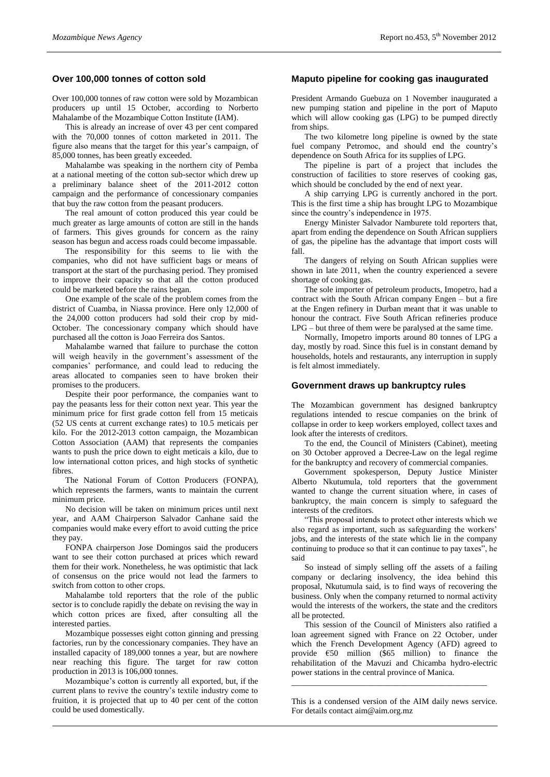## **Over 100,000 tonnes of cotton sold**

Over 100,000 tonnes of raw cotton were sold by Mozambican producers up until 15 October, according to Norberto Mahalambe of the Mozambique Cotton Institute (IAM).

This is already an increase of over 43 per cent compared with the 70,000 tonnes of cotton marketed in 2011. The figure also means that the target for this year's campaign, of 85,000 tonnes, has been greatly exceeded.

Mahalambe was speaking in the northern city of Pemba at a national meeting of the cotton sub-sector which drew up a preliminary balance sheet of the 2011-2012 cotton campaign and the performance of concessionary companies that buy the raw cotton from the peasant producers.

The real amount of cotton produced this year could be much greater as large amounts of cotton are still in the hands of farmers. This gives grounds for concern as the rainy season has begun and access roads could become impassable.

The responsibility for this seems to lie with the companies, who did not have sufficient bags or means of transport at the start of the purchasing period. They promised to improve their capacity so that all the cotton produced could be marketed before the rains began.

One example of the scale of the problem comes from the district of Cuamba, in Niassa province. Here only 12,000 of the 24,000 cotton producers had sold their crop by mid-October. The concessionary company which should have purchased all the cotton is Joao Ferreira dos Santos.

Mahalambe warned that failure to purchase the cotton will weigh heavily in the government's assessment of the companies' performance, and could lead to reducing the areas allocated to companies seen to have broken their promises to the producers.

Despite their poor performance, the companies want to pay the peasants less for their cotton next year. This year the minimum price for first grade cotton fell from 15 meticais (52 US cents at current exchange rates) to 10.5 meticais per kilo. For the 2012-2013 cotton campaign, the Mozambican Cotton Association (AAM) that represents the companies wants to push the price down to eight meticais a kilo, due to low international cotton prices, and high stocks of synthetic fibres.

The National Forum of Cotton Producers (FONPA), which represents the farmers, wants to maintain the current minimum price.

No decision will be taken on minimum prices until next year, and AAM Chairperson Salvador Canhane said the companies would make every effort to avoid cutting the price they pay.

FONPA chairperson Jose Domingos said the producers want to see their cotton purchased at prices which reward them for their work. Nonetheless, he was optimistic that lack of consensus on the price would not lead the farmers to switch from cotton to other crops.

Mahalambe told reporters that the role of the public sector is to conclude rapidly the debate on revising the way in which cotton prices are fixed, after consulting all the interested parties.

Mozambique possesses eight cotton ginning and pressing factories, run by the concessionary companies. They have an installed capacity of 189,000 tonnes a year, but are nowhere near reaching this figure. The target for raw cotton production in 2013 is 106,000 tonnes.

Mozambique's cotton is currently all exported, but, if the current plans to revive the country's textile industry come to fruition, it is projected that up to 40 per cent of the cotton could be used domestically.

## **Maputo pipeline for cooking gas inaugurated**

President Armando Guebuza on 1 November inaugurated a new pumping station and pipeline in the port of Maputo which will allow cooking gas (LPG) to be pumped directly from ships.

The two kilometre long pipeline is owned by the state fuel company Petromoc, and should end the country's dependence on South Africa for its supplies of LPG.

The pipeline is part of a project that includes the construction of facilities to store reserves of cooking gas, which should be concluded by the end of next year.

A ship carrying LPG is currently anchored in the port. This is the first time a ship has brought LPG to Mozambique since the country's independence in 1975.

Energy Minister Salvador Namburete told reporters that, apart from ending the dependence on South African suppliers of gas, the pipeline has the advantage that import costs will fall.

The dangers of relying on South African supplies were shown in late 2011, when the country experienced a severe shortage of cooking gas.

The sole importer of petroleum products, Imopetro, had a contract with the South African company Engen – but a fire at the Engen refinery in Durban meant that it was unable to honour the contract. Five South African refineries produce LPG – but three of them were be paralysed at the same time.

Normally, Imopetro imports around 80 tonnes of LPG a day, mostly by road. Since this fuel is in constant demand by households, hotels and restaurants, any interruption in supply is felt almost immediately.

#### **Government draws up bankruptcy rules**

The Mozambican government has designed bankruptcy regulations intended to rescue companies on the brink of collapse in order to keep workers employed, collect taxes and look after the interests of creditors.

To the end, the Council of Ministers (Cabinet), meeting on 30 October approved a Decree-Law on the legal regime for the bankruptcy and recovery of commercial companies.

Government spokesperson, Deputy Justice Minister Alberto Nkutumula, told reporters that the government wanted to change the current situation where, in cases of bankruptcy, the main concern is simply to safeguard the interests of the creditors.

"This proposal intends to protect other interests which we also regard as important, such as safeguarding the workers' jobs, and the interests of the state which lie in the company continuing to produce so that it can continue to pay taxes", he said

So instead of simply selling off the assets of a failing company or declaring insolvency, the idea behind this proposal, Nkutumula said, is to find ways of recovering the business. Only when the company returned to normal activity would the interests of the workers, the state and the creditors all be protected.

This session of the Council of Ministers also ratified a loan agreement signed with France on 22 October, under which the French Development Agency (AFD) agreed to provide €50 million (\$65 million) to finance the rehabilitation of the Mavuzi and Chicamba hydro-electric power stations in the central province of Manica.

This is a condensed version of the AIM daily news service. For details contact aim@aim.org.mz

\_\_\_\_\_\_\_\_\_\_\_\_\_\_\_\_\_\_\_\_\_\_\_\_\_\_\_\_\_\_\_\_\_\_\_\_\_\_\_\_\_\_\_\_\_\_\_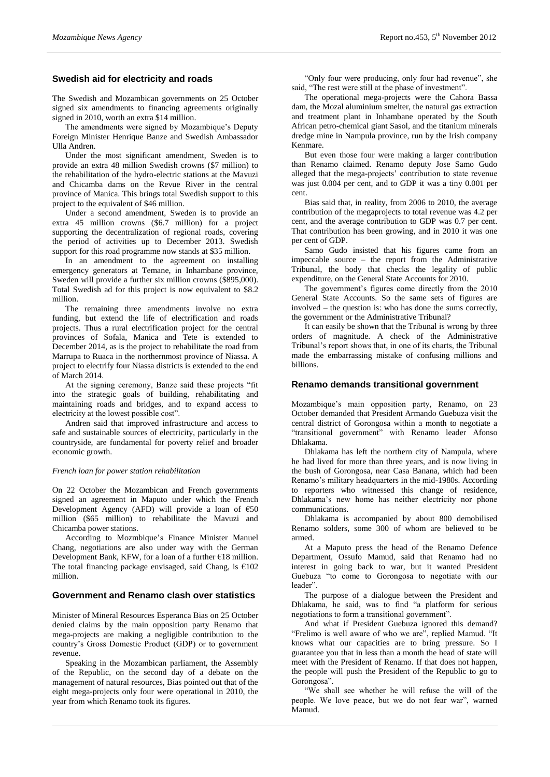## **Swedish aid for electricity and roads**

The Swedish and Mozambican governments on 25 October signed six amendments to financing agreements originally signed in 2010, worth an extra \$14 million.

The amendments were signed by Mozambique's Deputy Foreign Minister Henrique Banze and Swedish Ambassador Ulla Andren.

Under the most significant amendment, Sweden is to provide an extra 48 million Swedish crowns (\$7 million) to the rehabilitation of the hydro-electric stations at the Mavuzi and Chicamba dams on the Revue River in the central province of Manica. This brings total Swedish support to this project to the equivalent of \$46 million.

Under a second amendment, Sweden is to provide an extra 45 million crowns (\$6.7 million) for a project supporting the decentralization of regional roads, covering the period of activities up to December 2013. Swedish support for this road programme now stands at \$35 million.

In an amendment to the agreement on installing emergency generators at Temane, in Inhambane province, Sweden will provide a further six million crowns (\$895,000). Total Swedish ad for this project is now equivalent to \$8.2 million.

The remaining three amendments involve no extra funding, but extend the life of electrification and roads projects. Thus a rural electrification project for the central provinces of Sofala, Manica and Tete is extended to December 2014, as is the project to rehabilitate the road from Marrupa to Ruaca in the northernmost province of Niassa. A project to electrify four Niassa districts is extended to the end of March 2014.

At the signing ceremony, Banze said these projects "fit into the strategic goals of building, rehabilitating and maintaining roads and bridges, and to expand access to electricity at the lowest possible cost".

Andren said that improved infrastructure and access to safe and sustainable sources of electricity, particularly in the countryside, are fundamental for poverty relief and broader economic growth.

#### *French loan for power station rehabilitation*

On 22 October the Mozambican and French governments signed an agreement in Maputo under which the French Development Agency (AFD) will provide a loan of €50 million (\$65 million) to rehabilitate the Mavuzi and Chicamba power stations.

According to Mozmbique's Finance Minister Manuel Chang, negotiations are also under way with the German Development Bank, KFW, for a loan of a further  $E18$  million. The total financing package envisaged, said Chang, is  $€102$ million.

#### **Government and Renamo clash over statistics**

Minister of Mineral Resources Esperanca Bias on 25 October denied claims by the main opposition party Renamo that mega-projects are making a negligible contribution to the country's Gross Domestic Product (GDP) or to government revenue.

Speaking in the Mozambican parliament, the Assembly of the Republic, on the second day of a debate on the management of natural resources, Bias pointed out that of the eight mega-projects only four were operational in 2010, the year from which Renamo took its figures.

"Only four were producing, only four had revenue", she said, "The rest were still at the phase of investment".

The operational mega-projects were the Cahora Bassa dam, the Mozal aluminium smelter, the natural gas extraction and treatment plant in Inhambane operated by the South African petro-chemical giant Sasol, and the titanium minerals dredge mine in Nampula province, run by the Irish company Kenmare.

But even those four were making a larger contribution than Renamo claimed. Renamo deputy Jose Samo Gudo alleged that the mega-projects' contribution to state revenue was just 0.004 per cent, and to GDP it was a tiny 0.001 per cent.

Bias said that, in reality, from 2006 to 2010, the average contribution of the megaprojects to total revenue was 4.2 per cent, and the average contribution to GDP was 0.7 per cent. That contribution has been growing, and in 2010 it was one per cent of GDP.

Samo Gudo insisted that his figures came from an impeccable source – the report from the Administrative Tribunal, the body that checks the legality of public expenditure, on the General State Accounts for 2010.

The government's figures come directly from the 2010 General State Accounts. So the same sets of figures are involved – the question is: who has done the sums correctly, the government or the Administrative Tribunal?

It can easily be shown that the Tribunal is wrong by three orders of magnitude. A check of the Administrative Tribunal's report shows that, in one of its charts, the Tribunal made the embarrassing mistake of confusing millions and billions.

## **Renamo demands transitional government**

Mozambique's main opposition party, Renamo, on 23 October demanded that President Armando Guebuza visit the central district of Gorongosa within a month to negotiate a "transitional government" with Renamo leader Afonso Dhlakama.

Dhlakama has left the northern city of Nampula, where he had lived for more than three years, and is now living in the bush of Gorongosa, near Casa Banana, which had been Renamo's military headquarters in the mid-1980s. According to reporters who witnessed this change of residence, Dhlakama's new home has neither electricity nor phone communications.

Dhlakama is accompanied by about 800 demobilised Renamo solders, some 300 of whom are believed to be armed.

At a Maputo press the head of the Renamo Defence Department, Ossufo Mamud, said that Renamo had no interest in going back to war, but it wanted President Guebuza "to come to Gorongosa to negotiate with our leader".

The purpose of a dialogue between the President and Dhlakama, he said, was to find "a platform for serious negotiations to form a transitional government".

And what if President Guebuza ignored this demand? "Frelimo is well aware of who we are", replied Mamud. "It knows what our capacities are to bring pressure. So I guarantee you that in less than a month the head of state will meet with the President of Renamo. If that does not happen, the people will push the President of the Republic to go to Gorongosa".

"We shall see whether he will refuse the will of the people. We love peace, but we do not fear war", warned Mamud.